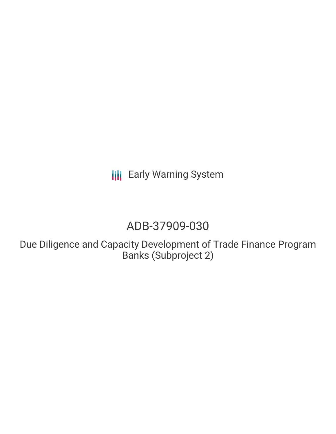**III** Early Warning System

# ADB-37909-030

Due Diligence and Capacity Development of Trade Finance Program Banks (Subproject 2)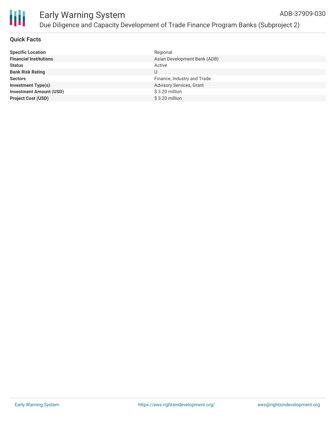

#### **Quick Facts**

| <b>Specific Location</b>       | Regional                     |
|--------------------------------|------------------------------|
| <b>Financial Institutions</b>  | Asian Development Bank (ADB) |
| <b>Status</b>                  | Active                       |
| <b>Bank Risk Rating</b>        | U                            |
| <b>Sectors</b>                 | Finance, Industry and Trade  |
| <b>Investment Type(s)</b>      | Advisory Services, Grant     |
| <b>Investment Amount (USD)</b> | \$3.20 million               |
| <b>Project Cost (USD)</b>      | $$3.20$ million              |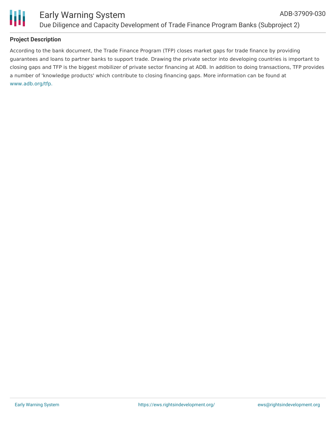

### **Project Description**

According to the bank document, the Trade Finance Program (TFP) closes market gaps for trade finance by providing guarantees and loans to partner banks to support trade. Drawing the private sector into developing countries is important to closing gaps and TFP is the biggest mobilizer of private sector financing at ADB. In addition to doing transactions, TFP provides a number of 'knowledge products' which contribute to closing financing gaps. More information can be found at [www.adb.org/tfp.](http://www.adb.org/tfp)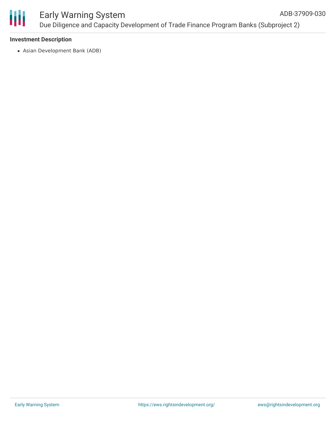

#### **Investment Description**

Asian Development Bank (ADB)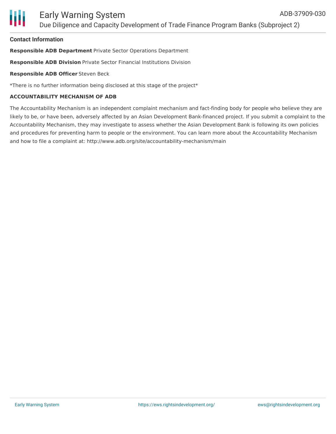## **Contact Information**

**Responsible ADB Department** Private Sector Operations Department

**Responsible ADB Division** Private Sector Financial Institutions Division

# **Responsible ADB Officer** Steven Beck

\*There is no further information being disclosed at this stage of the project\*

# **ACCOUNTABILITY MECHANISM OF ADB**

The Accountability Mechanism is an independent complaint mechanism and fact-finding body for people who believe they are likely to be, or have been, adversely affected by an Asian Development Bank-financed project. If you submit a complaint to the Accountability Mechanism, they may investigate to assess whether the Asian Development Bank is following its own policies and procedures for preventing harm to people or the environment. You can learn more about the Accountability Mechanism and how to file a complaint at: http://www.adb.org/site/accountability-mechanism/main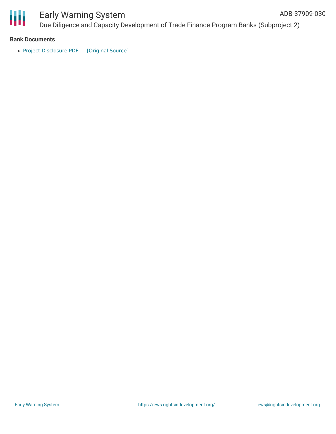

# Early Warning System

Due Diligence and Capacity Development of Trade Finance Program Banks (Subproject 2) ADB-37909-030

#### **Bank Documents**

• Project [Disclosure](https://ewsdata.rightsindevelopment.org/files/documents/30/ADB-37909-030.pdf) PDF [\[Original](https://www.adb.org/printpdf/projects/37909-030/main) Source]